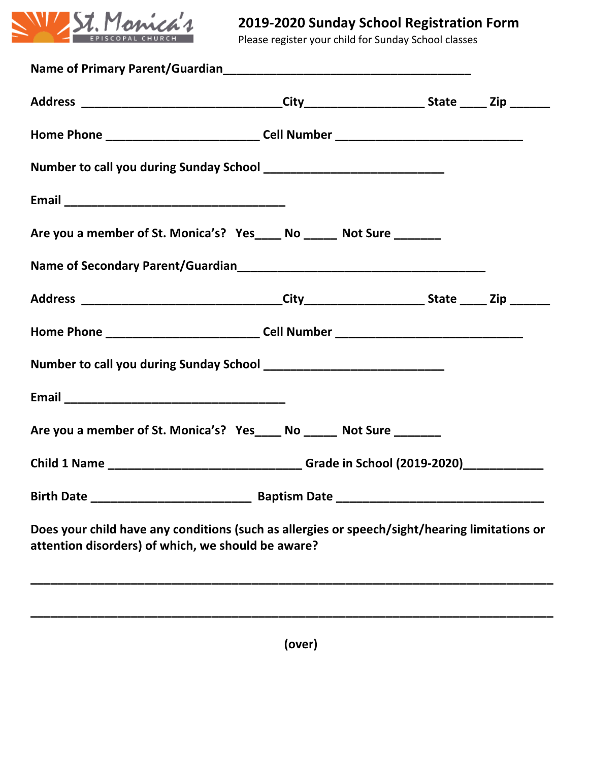

## **2019-2020 Sunday School Registration Form**

Please register your child for Sunday School classes

| Baptism Date ________                              |                                                                                                                                                                                                                                                                                                                                                                                                                                 |
|----------------------------------------------------|---------------------------------------------------------------------------------------------------------------------------------------------------------------------------------------------------------------------------------------------------------------------------------------------------------------------------------------------------------------------------------------------------------------------------------|
| attention disorders) of which, we should be aware? |                                                                                                                                                                                                                                                                                                                                                                                                                                 |
|                                                    | Home Phone _________________________________Cell Number _________________________<br>Are you a member of St. Monica's? Yes_____ No ______ Not Sure _______<br>Are you a member of St. Monica's? Yes_____ No ______ Not Sure _______<br>Child 1 Name _________________________________Grade in School (2019-2020)______________<br>Does your child have any conditions (such as allergies or speech/sight/hearing limitations or |

**(over)**

**\_\_\_\_\_\_\_\_\_\_\_\_\_\_\_\_\_\_\_\_\_\_\_\_\_\_\_\_\_\_\_\_\_\_\_\_\_\_\_\_\_\_\_\_\_\_\_\_\_\_\_\_\_\_\_\_\_\_\_\_\_\_\_\_\_\_\_\_\_\_\_\_\_\_\_\_\_\_**